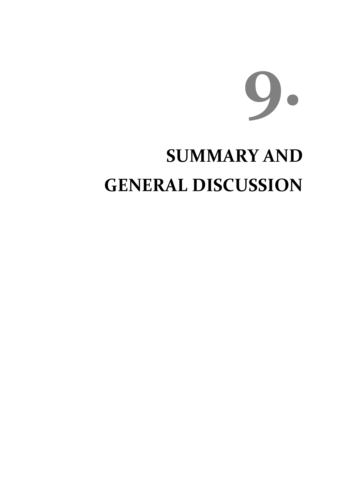# **9.**

## **SUMMARY AND GENERAL DISCUSSION**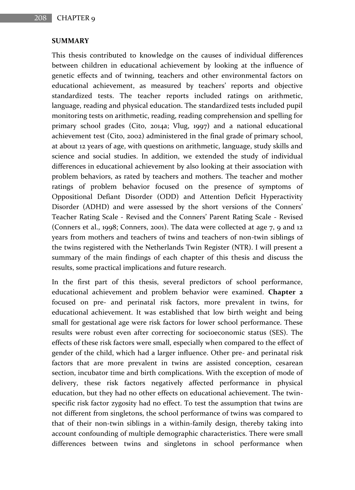#### **SUMMARY**

This thesis contributed to knowledge on the causes of individual differences between children in educational achievement by looking at the influence of genetic effects and of twinning, teachers and other environmental factors on educational achievement, as measured by teachers' reports and objective standardized tests. The teacher reports included ratings on arithmetic, language, reading and physical education. The standardized tests included pupil monitoring tests on arithmetic, reading, reading comprehension and spelling for primary school grades (Cito, 2014a; Vlug, 1997) and a national educational achievement test (Cito, 2002) administered in the final grade of primary school, at about 12 years of age, with questions on arithmetic, language, study skills and science and social studies. In addition, we extended the study of individual differences in educational achievement by also looking at their association with problem behaviors, as rated by teachers and mothers. The teacher and mother ratings of problem behavior focused on the presence of symptoms of Oppositional Defiant Disorder (ODD) and Attention Deficit Hyperactivity Disorder (ADHD) and were assessed by the short versions of the Conners' Teacher Rating Scale - Revised and the Conners' Parent Rating Scale - Revised (Conners et al., 1998; Conners, 2001). The data were collected at age 7, 9 and 12 years from mothers and teachers of twins and teachers of non-twin siblings of the twins registered with the Netherlands Twin Register (NTR). I will present a summary of the main findings of each chapter of this thesis and discuss the results, some practical implications and future research.

In the first part of this thesis, several predictors of school performance, educational achievement and problem behavior were examined. **Chapter 2** focused on pre- and perinatal risk factors, more prevalent in twins, for educational achievement. It was established that low birth weight and being small for gestational age were risk factors for lower school performance. These results were robust even after correcting for socioeconomic status (SES). The effects of these risk factors were small, especially when compared to the effect of gender of the child, which had a larger influence. Other pre- and perinatal risk factors that are more prevalent in twins are assisted conception, cesarean section, incubator time and birth complications. With the exception of mode of delivery, these risk factors negatively affected performance in physical education, but they had no other effects on educational achievement. The twinspecific risk factor zygosity had no effect. To test the assumption that twins are not different from singletons, the school performance of twins was compared to that of their non-twin siblings in a within-family design, thereby taking into account confounding of multiple demographic characteristics. There were small differences between twins and singletons in school performance when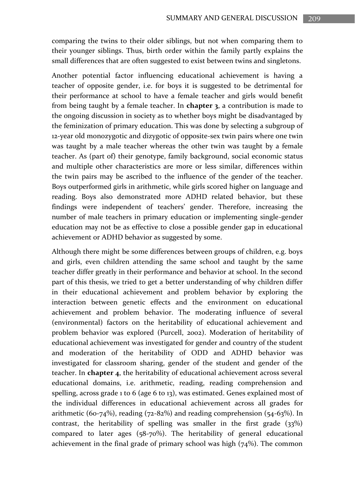comparing the twins to their older siblings, but not when comparing them to their younger siblings. Thus, birth order within the family partly explains the small differences that are often suggested to exist between twins and singletons.

Another potential factor influencing educational achievement is having a teacher of opposite gender, i.e. for boys it is suggested to be detrimental for their performance at school to have a female teacher and girls would benefit from being taught by a female teacher. In **chapter 3**, a contribution is made to the ongoing discussion in society as to whether boys might be disadvantaged by the feminization of primary education. This was done by selecting a subgroup of 12-year old monozygotic and dizygotic of opposite-sex twin pairs where one twin was taught by a male teacher whereas the other twin was taught by a female teacher. As (part of) their genotype, family background, social economic status and multiple other characteristics are more or less similar, differences within the twin pairs may be ascribed to the influence of the gender of the teacher. Boys outperformed girls in arithmetic, while girls scored higher on language and reading. Boys also demonstrated more ADHD related behavior, but these findings were independent of teachers' gender. Therefore, increasing the number of male teachers in primary education or implementing single-gender education may not be as effective to close a possible gender gap in educational achievement or ADHD behavior as suggested by some.

Although there might be some differences between groups of children, e.g. boys and girls, even children attending the same school and taught by the same teacher differ greatly in their performance and behavior at school. In the second part of this thesis, we tried to get a better understanding of why children differ in their educational achievement and problem behavior by exploring the interaction between genetic effects and the environment on educational achievement and problem behavior. The moderating influence of several (environmental) factors on the heritability of educational achievement and problem behavior was explored (Purcell, 2002). Moderation of heritability of educational achievement was investigated for gender and country of the student and moderation of the heritability of ODD and ADHD behavior was investigated for classroom sharing, gender of the student and gender of the teacher. In **chapter 4**, the heritability of educational achievement across several educational domains, i.e. arithmetic, reading, reading comprehension and spelling, across grade 1 to 6 (age 6 to 13), was estimated. Genes explained most of the individual differences in educational achievement across all grades for arithmetic (60-74%), reading (72-82%) and reading comprehension (54-63%). In contrast, the heritability of spelling was smaller in the first grade  $(33\%)$ compared to later ages (58-70%). The heritability of general educational achievement in the final grade of primary school was high  $(74%)$ . The common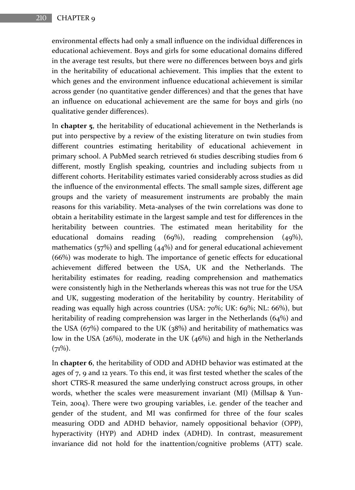environmental effects had only a small influence on the individual differences in educational achievement. Boys and girls for some educational domains differed in the average test results, but there were no differences between boys and girls in the heritability of educational achievement. This implies that the extent to which genes and the environment influence educational achievement is similar across gender (no quantitative gender differences) and that the genes that have an influence on educational achievement are the same for boys and girls (no qualitative gender differences).

In **chapter 5**, the heritability of educational achievement in the Netherlands is put into perspective by a review of the existing literature on twin studies from different countries estimating heritability of educational achievement in primary school. A PubMed search retrieved 61 studies describing studies from 6 different, mostly English speaking, countries and including subjects from 11 different cohorts. Heritability estimates varied considerably across studies as did the influence of the environmental effects. The small sample sizes, different age groups and the variety of measurement instruments are probably the main reasons for this variability. Meta-analyses of the twin correlations was done to obtain a heritability estimate in the largest sample and test for differences in the heritability between countries. The estimated mean heritability for the educational domains reading (69%), reading comprehension (49%), mathematics ( $57\%$ ) and spelling ( $44\%$ ) and for general educational achievement (66%) was moderate to high. The importance of genetic effects for educational achievement differed between the USA, UK and the Netherlands. The heritability estimates for reading, reading comprehension and mathematics were consistently high in the Netherlands whereas this was not true for the USA and UK, suggesting moderation of the heritability by country. Heritability of reading was equally high across countries (USA:  $70\%$ ; UK:  $69\%$ ; NL: 66%), but heritability of reading comprehension was larger in the Netherlands (64%) and the USA (67%) compared to the UK (38%) and heritability of mathematics was low in the USA (26%), moderate in the UK (46%) and high in the Netherlands  $(71\%)$ .

In **chapter 6**, the heritability of ODD and ADHD behavior was estimated at the ages of  $7$ ,  $9$  and 12 years. To this end, it was first tested whether the scales of the short CTRS-R measured the same underlying construct across groups, in other words, whether the scales were measurement invariant (MI) (Millsap & Yun-Tein, 2004). There were two grouping variables, i.e. gender of the teacher and gender of the student, and MI was confirmed for three of the four scales measuring ODD and ADHD behavior, namely oppositional behavior (OPP), hyperactivity (HYP) and ADHD index (ADHD). In contrast, measurement invariance did not hold for the inattention/cognitive problems (ATT) scale.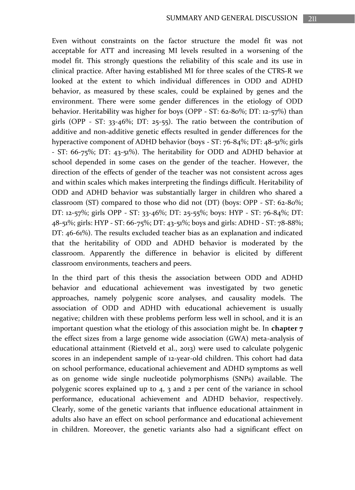Even without constraints on the factor structure the model fit was not acceptable for ATT and increasing MI levels resulted in a worsening of the model fit. This strongly questions the reliability of this scale and its use in clinical practice. After having established MI for three scales of the CTRS-R we looked at the extent to which individual differences in ODD and ADHD behavior, as measured by these scales, could be explained by genes and the environment. There were some gender differences in the etiology of ODD behavior. Heritab**i**lity was higher for boys (OPP - ST: 62-80%; DT: 12-57%) than girls (OPP - ST:  $33-46\%$ ; DT:  $25-55$ ). The ratio between the contribution of additive and non-additive genetic effects resulted in gender differences for the hyperactive component of ADHD behavior (boys - ST: 76-84%; DT: 48-51%; girls - ST: 66-75%; DT: 43-51%). The heritability for ODD and ADHD behavior at school depended in some cases on the gender of the teacher. However, the direction of the effects of gender of the teacher was not consistent across ages and within scales which makes interpreting the findings difficult. Heritability of ODD and ADHD behavior was substantially larger in children who shared a classroom (ST) compared to those who did not (DT) (boys: OPP - ST: 62-80%; DT: 12-57%; girls OPP - ST: 33-46%; DT: 25-55%; boys: HYP - ST: 76-84%; DT: 48-51%; girls: HYP - ST: 66-75%; DT: 43-51%; boys and girls: ADHD - ST: 78-88%; DT: 46-61%). The results excluded teacher bias as an explanation and indicated that the heritability of ODD and ADHD behavior is moderated by the classroom. Apparently the difference in behavior is elicited by different classroom environments, teachers and peers.

In the third part of this thesis the association between ODD and ADHD behavior and educational achievement was investigated by two genetic approaches, namely polygenic score analyses, and causality models. The association of ODD and ADHD with educational achievement is usually negative; children with these problems perform less well in school, and it is an important question what the etiology of this association might be. In **chapter 7** the effect sizes from a large genome wide association (GWA) meta-analysis of educational attainment (Rietveld et al., 2013) were used to calculate polygenic scores in an independent sample of 12-year-old children. This cohort had data on school performance, educational achievement and ADHD symptoms as well as on genome wide single nucleotide polymorphisms (SNPs) available. The polygenic scores explained up to 4, 3 and 2 per cent of the variance in school performance, educational achievement and ADHD behavior, respectively. Clearly, some of the genetic variants that influence educational attainment in adults also have an effect on school performance and educational achievement in children. Moreover, the genetic variants also had a significant effect on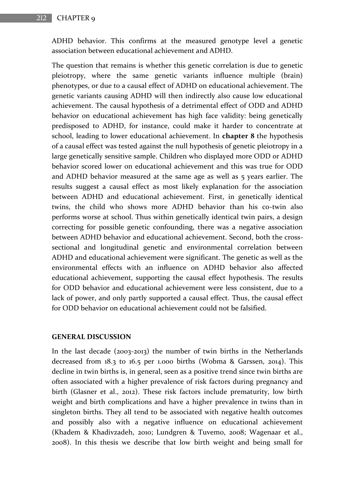ADHD behavior. This confirms at the measured genotype level a genetic association between educational achievement and ADHD.

The question that remains is whether this genetic correlation is due to genetic pleiotropy, where the same genetic variants influence multiple (brain) phenotypes, or due to a causal effect of ADHD on educational achievement. The genetic variants causing ADHD will then indirectly also cause low educational achievement. The causal hypothesis of a detrimental effect of ODD and ADHD behavior on educational achievement has high face validity: being genetically predisposed to ADHD, for instance, could make it harder to concentrate at school, leading to lower educational achievement. In **chapter 8** the hypothesis of a causal effect was tested against the null hypothesis of genetic pleiotropy in a large genetically sensitive sample. Children who displayed more ODD or ADHD behavior scored lower on educational achievement and this was true for ODD and ADHD behavior measured at the same age as well as 5 years earlier. The results suggest a causal effect as most likely explanation for the association between ADHD and educational achievement. First, in genetically identical twins, the child who shows more ADHD behavior than his co-twin also performs worse at school. Thus within genetically identical twin pairs, a design correcting for possible genetic confounding, there was a negative association between ADHD behavior and educational achievement. Second, both the crosssectional and longitudinal genetic and environmental correlation between ADHD and educational achievement were significant. The genetic as well as the environmental effects with an influence on ADHD behavior also affected educational achievement, supporting the causal effect hypothesis. The results for ODD behavior and educational achievement were less consistent, due to a lack of power, and only partly supported a causal effect. Thus, the causal effect for ODD behavior on educational achievement could not be falsified.

### **GENERAL DISCUSSION**

In the last decade (2003-2013) the number of twin births in the Netherlands decreased from 18.3 to 16.5 per 1.000 births (Wobma & Garssen, 2014). This decline in twin births is, in general, seen as a positive trend since twin births are often associated with a higher prevalence of risk factors during pregnancy and birth (Glasner et al., 2012). These risk factors include prematurity, low birth weight and birth complications and have a higher prevalence in twins than in singleton births. They all tend to be associated with negative health outcomes and possibly also with a negative influence on educational achievement (Khadem & Khadivzadeh, 2010; Lundgren & Tuvemo, 2008; Wagenaar et al., 2008). In this thesis we describe that low birth weight and being small for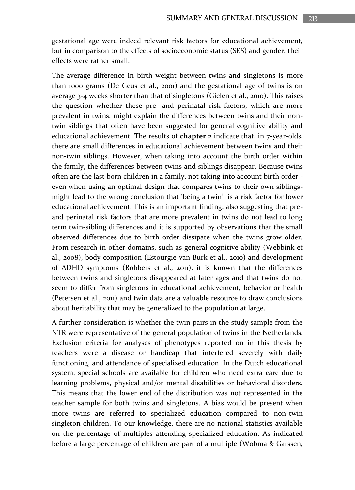gestational age were indeed relevant risk factors for educational achievement, but in comparison to the effects of socioeconomic status (SES) and gender, their effects were rather small.

The average difference in birth weight between twins and singletons is more than 1000 grams (De Geus et al., 2001) and the gestational age of twins is on average 3-4 weeks shorter than that of singletons (Gielen et al., 2010). This raises the question whether these pre- and perinatal risk factors, which are more prevalent in twins, might explain the differences between twins and their nontwin siblings that often have been suggested for general cognitive ability and educational achievement. The results of **chapter 2** indicate that, in 7-year-olds, there are small differences in educational achievement between twins and their non-twin siblings. However, when taking into account the birth order within the family, the differences between twins and siblings disappear. Because twins often are the last born children in a family, not taking into account birth order even when using an optimal design that compares twins to their own siblingsmight lead to the wrong conclusion that 'being a twin' is a risk factor for lower educational achievement. This is an important finding, also suggesting that preand perinatal risk factors that are more prevalent in twins do not lead to long term twin-sibling differences and it is supported by observations that the small observed differences due to birth order dissipate when the twins grow older. From research in other domains, such as general cognitive ability (Webbink et al., 2008), body composition (Estourgie-van Burk et al., 2010) and development of ADHD symptoms (Robbers et al., 2011), it is known that the differences between twins and singletons disappeared at later ages and that twins do not seem to differ from singletons in educational achievement, behavior or health (Petersen et al., 2011) and twin data are a valuable resource to draw conclusions about heritability that may be generalized to the population at large.

A further consideration is whether the twin pairs in the study sample from the NTR were representative of the general population of twins in the Netherlands. Exclusion criteria for analyses of phenotypes reported on in this thesis by teachers were a disease or handicap that interfered severely with daily functioning, and attendance of specialized education. In the Dutch educational system, special schools are available for children who need extra care due to learning problems, physical and/or mental disabilities or behavioral disorders. This means that the lower end of the distribution was not represented in the teacher sample for both twins and singletons. A bias would be present when more twins are referred to specialized education compared to non-twin singleton children. To our knowledge, there are no national statistics available on the percentage of multiples attending specialized education. As indicated before a large percentage of children are part of a multiple (Wobma & Garssen,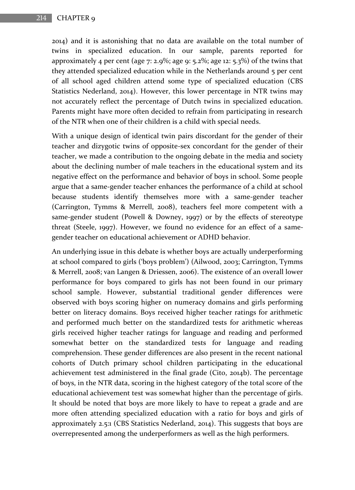2014) and it is astonishing that no data are available on the total number of twins in specialized education. In our sample, parents reported for approximately 4 per cent (age 7: 2.9%; age 9: 5.2%; age 12: 5.3%) of the twins that they attended specialized education while in the Netherlands around 5 per cent of all school aged children attend some type of specialized education (CBS Statistics Nederland, 2014). However, this lower percentage in NTR twins may not accurately reflect the percentage of Dutch twins in specialized education. Parents might have more often decided to refrain from participating in research of the NTR when one of their children is a child with special needs.

With a unique design of identical twin pairs discordant for the gender of their teacher and dizygotic twins of opposite-sex concordant for the gender of their teacher, we made a contribution to the ongoing debate in the media and society about the declining number of male teachers in the educational system and its negative effect on the performance and behavior of boys in school. Some people argue that a same-gender teacher enhances the performance of a child at school because students identify themselves more with a same-gender teacher (Carrington, Tymms & Merrell, 2008), teachers feel more competent with a same-gender student (Powell & Downey, 1997) or by the effects of stereotype threat (Steele, 1997). However, we found no evidence for an effect of a samegender teacher on educational achievement or ADHD behavior.

An underlying issue in this debate is whether boys are actually underperforming at school compared to girls ('boys problem') (Ailwood, 2003; Carrington, Tymms & Merrell, 2008; van Langen & Driessen, 2006). The existence of an overall lower performance for boys compared to girls has not been found in our primary school sample. However, substantial traditional gender differences were observed with boys scoring higher on numeracy domains and girls performing better on literacy domains. Boys received higher teacher ratings for arithmetic and performed much better on the standardized tests for arithmetic whereas girls received higher teacher ratings for language and reading and performed somewhat better on the standardized tests for language and reading comprehension. These gender differences are also present in the recent national cohorts of Dutch primary school children participating in the educational achievement test administered in the final grade (Cito, 2014b). The percentage of boys, in the NTR data, scoring in the highest category of the total score of the educational achievement test was somewhat higher than the percentage of girls. It should be noted that boys are more likely to have to repeat a grade and are more often attending specialized education with a ratio for boys and girls of approximately 2.5:1 (CBS Statistics Nederland, 2014). This suggests that boys are overrepresented among the underperformers as well as the high performers.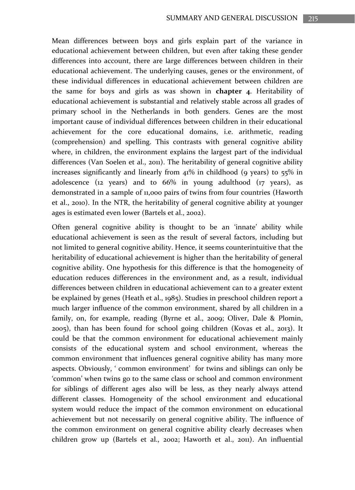Mean differences between boys and girls explain part of the variance in educational achievement between children, but even after taking these gender differences into account, there are large differences between children in their educational achievement. The underlying causes, genes or the environment, of these individual differences in educational achievement between children are the same for boys and girls as was shown in **chapter 4**. Heritability of educational achievement is substantial and relatively stable across all grades of primary school in the Netherlands in both genders. Genes are the most important cause of individual differences between children in their educational achievement for the core educational domains, i.e. arithmetic, reading (comprehension) and spelling. This contrasts with general cognitive ability where, in children, the environment explains the largest part of the individual differences (Van Soelen et al., 2011). The heritability of general cognitive ability increases significantly and linearly from  $41\%$  in childhood (9 years) to  $55\%$  in adolescence (12 years) and to  $66\%$  in young adulthood (17 years), as demonstrated in a sample of 11,000 pairs of twins from four countries (Haworth et al., 2010). In the NTR, the heritability of general cognitive ability at younger ages is estimated even lower (Bartels et al., 2002).

Often general cognitive ability is thought to be an 'innate' ability while educational achievement is seen as the result of several factors, including but not limited to general cognitive ability. Hence, it seems counterintuitive that the heritability of educational achievement is higher than the heritability of general cognitive ability. One hypothesis for this difference is that the homogeneity of education reduces differences in the environment and, as a result, individual differences between children in educational achievement can to a greater extent be explained by genes (Heath et al., 1985). Studies in preschool children report a much larger influence of the common environment, shared by all children in a family, on, for example, reading (Byrne et al., 2009; Oliver, Dale & Plomin, 2005), than has been found for school going children (Kovas et al., 2013). It could be that the common environment for educational achievement mainly consists of the educational system and school environment, whereas the common environment that influences general cognitive ability has many more aspects. Obviously, ' common environment' for twins and siblings can only be 'common' when twins go to the same class or school and common environment for siblings of different ages also will be less, as they nearly always attend different classes. Homogeneity of the school environment and educational system would reduce the impact of the common environment on educational achievement but not necessarily on general cognitive ability. The influence of the common environment on general cognitive ability clearly decreases when children grow up (Bartels et al., 2002; Haworth et al., 2011). An influential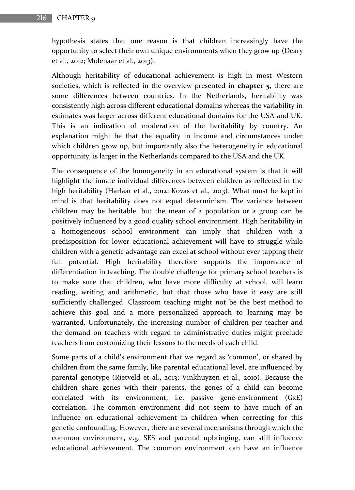hypothesis states that one reason is that children increasingly have the opportunity to select their own unique environments when they grow up (Deary et al., 2012; Molenaar et al., 2013).

Although heritability of educational achievement is high in most Western societies, which is reflected in the overview presented in **chapter 5**, there are some differences between countries. In the Netherlands, heritability was consistently high across different educational domains whereas the variability in estimates was larger across different educational domains for the USA and UK. This is an indication of moderation of the heritability by country. An explanation might be that the equality in income and circumstances under which children grow up, but importantly also the heterogeneity in educational opportunity, is larger in the Netherlands compared to the USA and the UK.

The consequence of the homogeneity in an educational system is that it will highlight the innate individual differences between children as reflected in the high heritability (Harlaar et al., 2012; Kovas et al., 2013). What must be kept in mind is that heritability does not equal determinism. The variance between children may be heritable, but the mean of a population or a group can be positively influenced by a good quality school environment. High heritability in a homogeneous school environment can imply that children with a predisposition for lower educational achievement will have to struggle while children with a genetic advantage can excel at school without ever tapping their full potential. High heritability therefore supports the importance of differentiation in teaching. The double challenge for primary school teachers is to make sure that children, who have more difficulty at school, will learn reading, writing and arithmetic, but that those who have it easy are still sufficiently challenged. Classroom teaching might not be the best method to achieve this goal and a more personalized approach to learning may be warranted. Unfortunately, the increasing number of children per teacher and the demand on teachers with regard to administrative duties might preclude teachers from customizing their lessons to the needs of each child.

Some parts of a child's environment that we regard as 'common', or shared by children from the same family, like parental educational level, are influenced by parental genotype (Rietveld et al., 2013; Vinkhuyzen et al., 2010). Because the children share genes with their parents, the genes of a child can become correlated with its environment, i.e. passive gene-environment (GxE) correlation. The common environment did not seem to have much of an influence on educational achievement in children when correcting for this genetic confounding. However, there are several mechanisms through which the common environment, e.g. SES and parental upbringing, can still influence educational achievement. The common environment can have an influence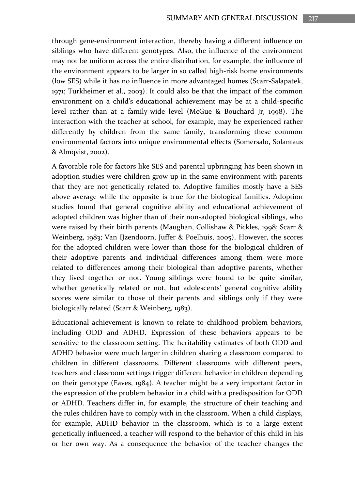through gene-environment interaction, thereby having a different influence on siblings who have different genotypes. Also, the influence of the environment may not be uniform across the entire distribution, for example, the influence of the environment appears to be larger in so called high-risk home environments (low SES) while it has no influence in more advantaged homes (Scarr-Salapatek, 1971; Turkheimer et al., 2003). It could also be that the impact of the common environment on a child's educational achievement may be at a child-specific level rather than at a family-wide level (McGue & Bouchard Jr, 1998). The interaction with the teacher at school, for example, may be experienced rather differently by children from the same family, transforming these common environmental factors into unique environmental effects (Somersalo, Solantaus & Almqvist, 2002).

A favorable role for factors like SES and parental upbringing has been shown in adoption studies were children grow up in the same environment with parents that they are not genetically related to. Adoptive families mostly have a SES above average while the opposite is true for the biological families. Adoption studies found that general cognitive ability and educational achievement of adopted children was higher than of their non-adopted biological siblings, who were raised by their birth parents (Maughan, Collishaw & Pickles, 1998; Scarr & Weinberg, 1983; Van IJzendoorn, Juffer & Poelhuis, 2005). However, the scores for the adopted children were lower than those for the biological children of their adoptive parents and individual differences among them were more related to differences among their biological than adoptive parents, whether they lived together or not. Young siblings were found to be quite similar, whether genetically related or not, but adolescents' general cognitive ability scores were similar to those of their parents and siblings only if they were biologically related (Scarr & Weinberg, 1983).

Educational achievement is known to relate to childhood problem behaviors, including ODD and ADHD. Expression of these behaviors appears to be sensitive to the classroom setting. The heritability estimates of both ODD and ADHD behavior were much larger in children sharing a classroom compared to children in different classrooms. Different classrooms with different peers, teachers and classroom settings trigger different behavior in children depending on their genotype (Eaves, 1984). A teacher might be a very important factor in the expression of the problem behavior in a child with a predisposition for ODD or ADHD. Teachers differ in, for example, the structure of their teaching and the rules children have to comply with in the classroom. When a child displays, for example, ADHD behavior in the classroom, which is to a large extent genetically influenced, a teacher will respond to the behavior of this child in his or her own way. As a consequence the behavior of the teacher changes the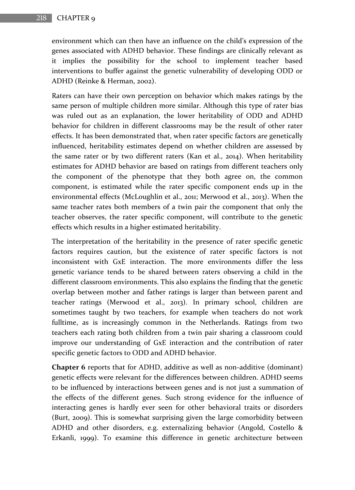environment which can then have an influence on the child's expression of the genes associated with ADHD behavior. These findings are clinically relevant as it implies the possibility for the school to implement teacher based interventions to buffer against the genetic vulnerability of developing ODD or ADHD (Reinke & Herman, 2002).

Raters can have their own perception on behavior which makes ratings by the same person of multiple children more similar. Although this type of rater bias was ruled out as an explanation, the lower heritability of ODD and ADHD behavior for children in different classrooms may be the result of other rater effects. It has been demonstrated that, when rater specific factors are genetically influenced, heritability estimates depend on whether children are assessed by the same rater or by two different raters (Kan et al., 2014). When heritability estimates for ADHD behavior are based on ratings from different teachers only the component of the phenotype that they both agree on, the common component, is estimated while the rater specific component ends up in the environmental effects (McLoughlin et al., 2011; Merwood et al., 2013). When the same teacher rates both members of a twin pair the component that only the teacher observes, the rater specific component, will contribute to the genetic effects which results in a higher estimated heritability.

The interpretation of the heritability in the presence of rater specific genetic factors requires caution, but the existence of rater specific factors is not inconsistent with GxE interaction. The more environments differ the less genetic variance tends to be shared between raters observing a child in the different classroom environments. This also explains the finding that the genetic overlap between mother and father ratings is larger than between parent and teacher ratings (Merwood et al., 2013). In primary school, children are sometimes taught by two teachers, for example when teachers do not work fulltime, as is increasingly common in the Netherlands. Ratings from two teachers each rating both children from a twin pair sharing a classroom could improve our understanding of GxE interaction and the contribution of rater specific genetic factors to ODD and ADHD behavior.

**Chapter 6** reports that for ADHD, additive as well as non-additive (dominant) genetic effects were relevant for the differences between children. ADHD seems to be influenced by interactions between genes and is not just a summation of the effects of the different genes. Such strong evidence for the influence of interacting genes is hardly ever seen for other behavioral traits or disorders (Burt, 2009). This is somewhat surprising given the large comorbidity between ADHD and other disorders, e.g. externalizing behavior (Angold, Costello & Erkanli, 1999). To examine this difference in genetic architecture between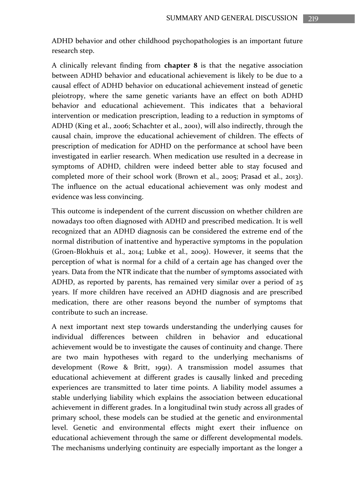ADHD behavior and other childhood psychopathologies is an important future research step.

A clinically relevant finding from **chapter 8** is that the negative association between ADHD behavior and educational achievement is likely to be due to a causal effect of ADHD behavior on educational achievement instead of genetic pleiotropy, where the same genetic variants have an effect on both ADHD behavior and educational achievement. This indicates that a behavioral intervention or medication prescription, leading to a reduction in symptoms of ADHD (King et al., 2006; Schachter et al., 2001), will also indirectly, through the causal chain, improve the educational achievement of children. The effects of prescription of medication for ADHD on the performance at school have been investigated in earlier research. When medication use resulted in a decrease in symptoms of ADHD, children were indeed better able to stay focused and completed more of their school work (Brown et al., 2005; Prasad et al., 2013). The influence on the actual educational achievement was only modest and evidence was less convincing.

This outcome is independent of the current discussion on whether children are nowadays too often diagnosed with ADHD and prescribed medication. It is well recognized that an ADHD diagnosis can be considered the extreme end of the normal distribution of inattentive and hyperactive symptoms in the population (Groen-Blokhuis et al., 2014; Lubke et al., 2009). However, it seems that the perception of what is normal for a child of a certain age has changed over the years. Data from the NTR indicate that the number of symptoms associated with ADHD, as reported by parents, has remained very similar over a period of 25 years. If more children have received an ADHD diagnosis and are prescribed medication, there are other reasons beyond the number of symptoms that contribute to such an increase.

A next important next step towards understanding the underlying causes for individual differences between children in behavior and educational achievement would be to investigate the causes of continuity and change. There are two main hypotheses with regard to the underlying mechanisms of development (Rowe & Britt, 1991). A transmission model assumes that educational achievement at different grades is causally linked and preceding experiences are transmitted to later time points. A liability model assumes a stable underlying liability which explains the association between educational achievement in different grades. In a longitudinal twin study across all grades of primary school, these models can be studied at the genetic and environmental level. Genetic and environmental effects might exert their influence on educational achievement through the same or different developmental models. The mechanisms underlying continuity are especially important as the longer a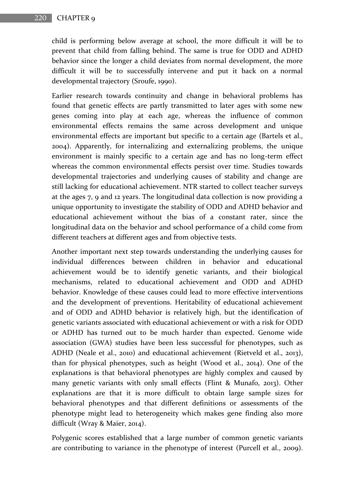child is performing below average at school, the more difficult it will be to prevent that child from falling behind. The same is true for ODD and ADHD behavior since the longer a child deviates from normal development, the more difficult it will be to successfully intervene and put it back on a normal developmental trajectory (Sroufe, 1990).

Earlier research towards continuity and change in behavioral problems has found that genetic effects are partly transmitted to later ages with some new genes coming into play at each age, whereas the influence of common environmental effects remains the same across development and unique environmental effects are important but specific to a certain age (Bartels et al., 2004). Apparently, for internalizing and externalizing problems, the unique environment is mainly specific to a certain age and has no long-term effect whereas the common environmental effects persist over time. Studies towards developmental trajectories and underlying causes of stability and change are still lacking for educational achievement. NTR started to collect teacher surveys at the ages 7, 9 and 12 years. The longitudinal data collection is now providing a unique opportunity to investigate the stability of ODD and ADHD behavior and educational achievement without the bias of a constant rater, since the longitudinal data on the behavior and school performance of a child come from different teachers at different ages and from objective tests.

Another important next step towards understanding the underlying causes for individual differences between children in behavior and educational achievement would be to identify genetic variants, and their biological mechanisms, related to educational achievement and ODD and ADHD behavior. Knowledge of these causes could lead to more effective interventions and the development of preventions. Heritability of educational achievement and of ODD and ADHD behavior is relatively high, but the identification of genetic variants associated with educational achievement or with a risk for ODD or ADHD has turned out to be much harder than expected. Genome wide association (GWA) studies have been less successful for phenotypes, such as ADHD (Neale et al., 2010) and educational achievement (Rietveld et al., 2013), than for physical phenotypes, such as height (Wood et al., 2014). One of the explanations is that behavioral phenotypes are highly complex and caused by many genetic variants with only small effects (Flint & Munafo, 2013). Other explanations are that it is more difficult to obtain large sample sizes for behavioral phenotypes and that different definitions or assessments of the phenotype might lead to heterogeneity which makes gene finding also more difficult (Wray & Maier, 2014).

Polygenic scores established that a large number of common genetic variants are contributing to variance in the phenotype of interest (Purcell et al., 2009).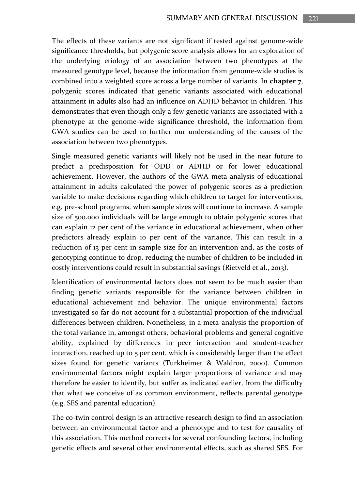The effects of these variants are not significant if tested against genome-wide significance thresholds, but polygenic score analysis allows for an exploration of the underlying etiology of an association between two phenotypes at the measured genotype level, because the information from genome-wide studies is combined into a weighted score across a large number of variants. In **chapter 7**, polygenic scores indicated that genetic variants associated with educational attainment in adults also had an influence on ADHD behavior in children. This demonstrates that even though only a few genetic variants are associated with a phenotype at the genome-wide significance threshold, the information from GWA studies can be used to further our understanding of the causes of the association between two phenotypes.

Single measured genetic variants will likely not be used in the near future to predict a predisposition for ODD or ADHD or for lower educational achievement. However, the authors of the GWA meta-analysis of educational attainment in adults calculated the power of polygenic scores as a prediction variable to make decisions regarding which children to target for interventions, e.g. pre-school programs, when sample sizes will continue to increase. A sample size of 500.000 individuals will be large enough to obtain polygenic scores that can explain 12 per cent of the variance in educational achievement, when other predictors already explain 10 per cent of the variance. This can result in a reduction of 13 per cent in sample size for an intervention and, as the costs of genotyping continue to drop, reducing the number of children to be included in costly interventions could result in substantial savings (Rietveld et al., 2013).

Identification of environmental factors does not seem to be much easier than finding genetic variants responsible for the variance between children in educational achievement and behavior. The unique environmental factors investigated so far do not account for a substantial proportion of the individual differences between children. Nonetheless, in a meta-analysis the proportion of the total variance in, amongst others, behavioral problems and general cognitive ability, explained by differences in peer interaction and student-teacher interaction, reached up to 5 per cent, which is considerably larger than the effect sizes found for genetic variants (Turkheimer & Waldron, 2000). Common environmental factors might explain larger proportions of variance and may therefore be easier to identify, but suffer as indicated earlier, from the difficulty that what we conceive of as common environment, reflects parental genotype (e.g. SES and parental education).

The co-twin control design is an attractive research design to find an association between an environmental factor and a phenotype and to test for causality of this association. This method corrects for several confounding factors, including genetic effects and several other environmental effects, such as shared SES. For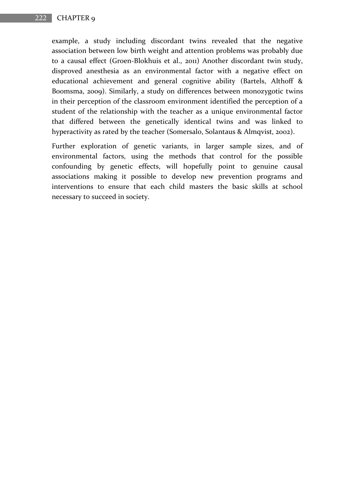example, a study including discordant twins revealed that the negative association between low birth weight and attention problems was probably due to a causal effect (Groen-Blokhuis et al., 2011) Another discordant twin study, disproved anesthesia as an environmental factor with a negative effect on educational achievement and general cognitive ability (Bartels, Althoff & Boomsma, 2009). Similarly, a study on differences between monozygotic twins in their perception of the classroom environment identified the perception of a student of the relationship with the teacher as a unique environmental factor that differed between the genetically identical twins and was linked to hyperactivity as rated by the teacher (Somersalo, Solantaus & Almqvist, 2002).

Further exploration of genetic variants, in larger sample sizes, and of environmental factors, using the methods that control for the possible confounding by genetic effects, will hopefully point to genuine causal associations making it possible to develop new prevention programs and interventions to ensure that each child masters the basic skills at school necessary to succeed in society.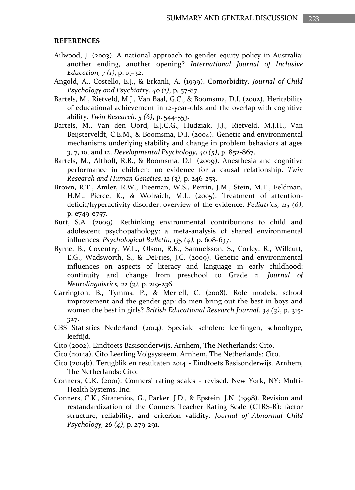#### **REFERENCES**

- Ailwood, J. (2003). A national approach to gender equity policy in Australia: another ending, another opening? *International Journal of Inclusive Education, 7 (1)*, p. 19-32.
- Angold, A., Costello, E.J., & Erkanli, A. (1999). Comorbidity. *Journal of Child Psychology and Psychiatry, 40 (1)*, p. 57-87.
- Bartels, M., Rietveld, M.J., Van Baal, G.C., & Boomsma, D.I. (2002). Heritability of educational achievement in 12-year-olds and the overlap with cognitive ability. *Twin Research, 5 (6)*, p. 544-553.
- Bartels, M., Van den Oord, E.J.C.G., Hudziak, J.J., Rietveld, M.J.H., Van Beijsterveldt, C.E.M., & Boomsma, D.I. (2004). Genetic and environmental mechanisms underlying stability and change in problem behaviors at ages 3, 7, 10, and 12. *Developmental Psychology, 40 (5)*, p. 852-867.
- Bartels, M., Althoff, R.R., & Boomsma, D.I. (2009). Anesthesia and cognitive performance in children: no evidence for a causal relationship. *Twin Research and Human Genetics, 12 (3)*, p. 246-253.
- Brown, R.T., Amler, R.W., Freeman, W.S., Perrin, J.M., Stein, M.T., Feldman, H.M., Pierce, K., & Wolraich, M.L. (2005). Treatment of attentiondeficit/hyperactivity disorder: overview of the evidence. *Pediatrics, 115 (6)*, p. e749-e757.
- Burt, S.A. (2009). Rethinking environmental contributions to child and adolescent psychopathology: a meta-analysis of shared environmental influences. *Psychological Bulletin, 135 (4)*, p. 608-637.
- Byrne, B., Coventry, W.L., Olson, R.K., Samuelsson, S., Corley, R., Willcutt, E.G., Wadsworth, S., & DeFries, J.C. (2009). Genetic and environmental influences on aspects of literacy and language in early childhood: continuity and change from preschool to Grade 2. *Journal of Neurolinguistics, 22 (3)*, p. 219-236.
- Carrington, B., Tymms, P., & Merrell, C. (2008). Role models, school improvement and the gender gap: do men bring out the best in boys and women the best in girls? *British Educational Research Journal, 34 (3)*, p. 315- 327.
- CBS Statistics Nederland (2014). Speciale scholen: leerlingen, schooltype, leeftijd.
- Cito (2002). Eindtoets Basisonderwijs. Arnhem, The Netherlands: Cito.
- Cito (2014a). Cito Leerling Volgsysteem. Arnhem, The Netherlands: Cito.
- Cito (2014b). Terugblik en resultaten 2014 Eindtoets Basisonderwijs. Arnhem, The Netherlands: Cito.
- Conners, C.K. (2001). Conners' rating scales revised. New York, NY: Multi-Health Systems, Inc.
- Conners, C.K., Sitarenios, G., Parker, J.D., & Epstein, J.N. (1998). Revision and restandardization of the Conners Teacher Rating Scale (CTRS-R): factor structure, reliability, and criterion validity. *Journal of Abnormal Child Psychology, 26 (4)*, p. 279-291.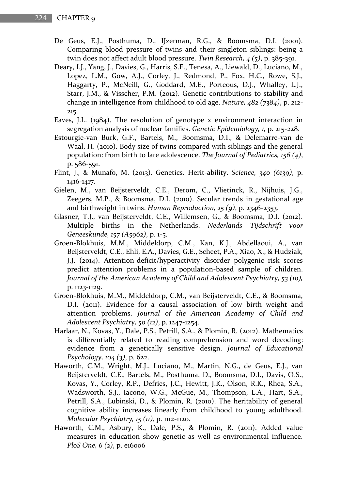- De Geus, E.J., Posthuma, D., IJzerman, R.G., & Boomsma, D.I. (2001). Comparing blood pressure of twins and their singleton siblings: being a twin does not affect adult blood pressure. *Twin Research, 4 (5)*, p. 385-391.
- Deary, I.J., Yang, J., Davies, G., Harris, S.E., Tenesa, A., Liewald, D., Luciano, M., Lopez, L.M., Gow, A.J., Corley, J., Redmond, P., Fox, H.C., Rowe, S.J., Haggarty, P., McNeill, G., Goddard, M.E., Porteous, D.J., Whalley, L.J., Starr, J.M., & Visscher, P.M. (2012). Genetic contributions to stability and change in intelligence from childhood to old age. *Nature, 482 (7384)*, p. 212- 215.
- Eaves, J.L.  $(1984)$ . The resolution of genotype x environment interaction in segregation analysis of nuclear families. *Genetic Epidemiology, 1,* p. 215-228.
- Estourgie-van Burk, G.F., Bartels, M., Boomsma, D.I., & Delemarre-van de Waal, H. (2010). Body size of twins compared with siblings and the general population: from birth to late adolescence. *The Journal of Pediatrics, 156 (4)*, p. 586-591.
- Flint, J., & Munafo, M. (2013). Genetics. Herit-ability. *Science, 340 (6139)*, p. 1416-1417.
- Gielen, M., van Beijsterveldt, C.E., Derom, C., Vlietinck, R., Nijhuis, J.G., Zeegers, M.P., & Boomsma, D.I. (2010). Secular trends in gestational age and birthweight in twins. *Human Reproduction, 25 (9)*, p. 2346-2353.
- Glasner, T.J., van Beijsterveldt, C.E., Willemsen, G., & Boomsma, D.I. (2012). Multiple births in the Netherlands. *Nederlands Tijdschrift voor Geneeskunde, 157 (A5962)*, p. 1-5.
- Groen-Blokhuis, M.M., Middeldorp, C.M., Kan, K.J., Abdellaoui, A., van Beijsterveldt, C.E., Ehli, E.A., Davies, G.E., Scheet, P.A., Xiao, X., & Hudziak, J.J. (2014). Attention-deficit/hyperactivity disorder polygenic risk scores predict attention problems in a population-based sample of children. *Journal of the American Academy of Child and Adolescent Psychiatry, 53 (10),*  p. 1123-1129.
- Groen-Blokhuis, M.M., Middeldorp, C.M., van Beijsterveldt, C.E., & Boomsma, D.I. (2011). Evidence for a causal association of low birth weight and attention problems. *Journal of the American Academy of Child and Adolescent Psychiatry, 50 (12)*, p. 1247-1254.
- Harlaar, N., Kovas, Y., Dale, P.S., Petrill, S.A., & Plomin, R. (2012). Mathematics is differentially related to reading comprehension and word decoding: evidence from a genetically sensitive design. *Journal of Educational Psychology, 104 (3)*, p. 622.
- Haworth, C.M., Wright, M.J., Luciano, M., Martin, N.G., de Geus, E.J., van Beijsterveldt, C.E., Bartels, M., Posthuma, D., Boomsma, D.I., Davis, O.S., Kovas, Y., Corley, R.P., Defries, J.C., Hewitt, J.K., Olson, R.K., Rhea, S.A., Wadsworth, S.J., Iacono, W.G., McGue, M., Thompson, L.A., Hart, S.A., Petrill, S.A., Lubinski, D., & Plomin, R. (2010). The heritability of general cognitive ability increases linearly from childhood to young adulthood. *Molecular Psychiatry, 15 (11)*, p. 1112-1120.
- Haworth, C.M., Asbury, K., Dale, P.S., & Plomin, R. (2011). Added value measures in education show genetic as well as environmental influence. *PloS One, 6 (2)*, p. e16006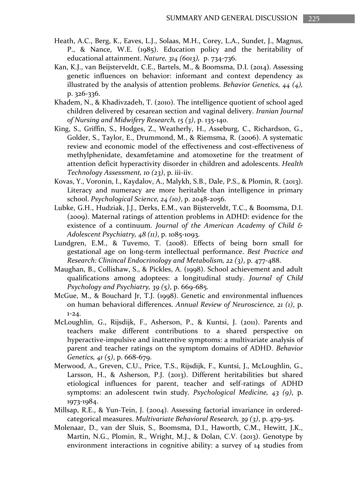- Heath, A.C., Berg, K., Eaves, L.J., Solaas, M.H., Corey, L.A., Sundet, J., Magnus, P., & Nance, W.E. (1985). Education policy and the heritability of educational attainment. *Nature, 314 (6013),* p. 734-736.
- Kan, K.J., van Beijsterveldt, C.E., Bartels, M., & Boomsma, D.I. (2014). Assessing genetic influences on behavior: informant and context dependency as illustrated by the analysis of attention problems. *Behavior Genetics, 44 (4),*  p. 326-336.
- Khadem, N., & Khadivzadeh, T. (2010). The intelligence quotient of school aged children delivered by cesarean section and vaginal delivery. *Iranian Journal of Nursing and Midwifery Research, 15 (3)*, p. 135-140.
- King, S., Griffin, S., Hodges, Z., Weatherly, H., Asseburg, C., Richardson, G., Golder, S., Taylor, E., Drummond, M., & Riemsma, R. (2006). A systematic review and economic model of the effectiveness and cost-effectiveness of methylphenidate, dexamfetamine and atomoxetine for the treatment of attention deficit hyperactivity disorder in children and adolescents. *Health Technology Assessment, 10 (23)*, p. iii-iiv.
- Kovas, Y., Voronin, I., Kaydalov, A., Malykh, S.B., Dale, P.S., & Plomin, R. (2013). Literacy and numeracy are more heritable than intelligence in primary school. *Psychological Science, 24 (10)*, p. 2048-2056.
- Lubke, G.H., Hudziak, J.J., Derks, E.M., van Bijsterveldt, T.C., & Boomsma, D.I. (2009). Maternal ratings of attention problems in ADHD: evidence for the existence of a continuum. *Journal of the American Academy of Child & Adolescent Psychiatry, 48 (11)*, p. 1085-1093.
- Lundgren, E.M., & Tuvemo, T. (2008). Effects of being born small for gestational age on long-term intellectual performance. *Best Practice and Research: Clinincal Endocrinology and Metabolism, 22 (3)*, p. 477-488.
- Maughan, B., Collishaw, S., & Pickles, A. (1998). School achievement and adult qualifications among adoptees: a longitudinal study. *Journal of Child Psychology and Psychiatry, 39 (5)*, p. 669-685.
- McGue, M., & Bouchard Jr, T.J. (1998). Genetic and environmental influences on human behavioral differences. *Annual Review of Neuroscience, 21 (1)*, p. 1-24.
- McLoughlin, G., Rijsdijk, F., Asherson, P., & Kuntsi, J. (2011). Parents and teachers make different contributions to a shared perspective on hyperactive-impulsive and inattentive symptoms: a multivariate analysis of parent and teacher ratings on the symptom domains of ADHD. *Behavior Genetics, 41 (5)*, p. 668-679.
- Merwood, A., Greven, C.U., Price, T.S., Rijsdijk, F., Kuntsi, J., McLoughlin, G., Larsson, H., & Asherson, P.J. (2013). Different heritabilities but shared etiological influences for parent, teacher and self-ratings of ADHD symptoms: an adolescent twin study. *Psychological Medicine, 43 (9)*, p. 1973-1984.
- Millsap, R.E., & Yun-Tein, J. (2004). Assessing factorial invariance in orderedcategorical measures. *Multivariate Behavioral Research, 39 (3)*, p. 479-515.
- Molenaar, D., van der Sluis, S., Boomsma, D.I., Haworth, C.M., Hewitt, J.K., Martin, N.G., Plomin, R., Wright, M.J., & Dolan, C.V. (2013). Genotype by environment interactions in cognitive ability: a survey of 14 studies from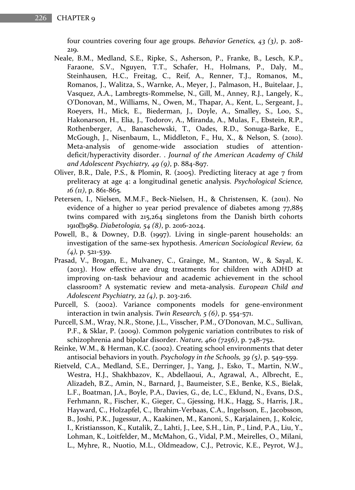four countries covering four age groups. *Behavior Genetics, 43 (3)*, p. 208- 219.

- Neale, B.M., Medland, S.E., Ripke, S., Asherson, P., Franke, B., Lesch, K.P., Faraone, S.V., Nguyen, T.T., Schafer, H., Holmans, P., Daly, M., Steinhausen, H.C., Freitag, C., Reif, A., Renner, T.J., Romanos, M., Romanos, J., Walitza, S., Warnke, A., Meyer, J., Palmason, H., Buitelaar, J., Vasquez, A.A., Lambregts-Rommelse, N., Gill, M., Anney, R.J., Langely, K., O'Donovan, M., Williams, N., Owen, M., Thapar, A., Kent, L., Sergeant, J., Roeyers, H., Mick, E., Biederman, J., Doyle, A., Smalley, S., Loo, S., Hakonarson, H., Elia, J., Todorov, A., Miranda, A., Mulas, F., Ebstein, R.P., Rothenberger, A., Banaschewski, T., Oades, R.D., Sonuga-Barke, E., McGough, J., Nisenbaum, L., Middleton, F., Hu, X., & Nelson, S. (2010). Meta-analysis of genome-wide association studies of attentiondeficit/hyperactivity disorder. . *Journal of the American Academy of Child and Adolescent Psychiatry, 49 (9)*, p. 884-897.
- Oliver, B.R., Dale, P.S., & Plomin, R. (2005). Predicting literacy at age 7 from preliteracy at age 4: a longitudinal genetic analysis. *Psychological Science, 16 (11)*, p. 861-865.
- Petersen, I., Nielsen, M.M.F., Beck-Nielsen, H., & Christensen, K. (2011). No evidence of a higher 10 year period prevalence of diabetes among 77,885 twins compared with 215,264 singletons from the Danish birth cohorts 1910 1989. *Diabetologia, 54 (8)*, p. 2016-2024.
- Powell, B., & Downey, D.B. (1997). Living in single-parent households: an investigation of the same-sex hypothesis. *American Sociological Review, 62 (4),* p. 521-539.
- Prasad, V., Brogan, E., Mulvaney, C., Grainge, M., Stanton, W., & Sayal, K. (2013). How effective are drug treatments for children with ADHD at improving on-task behaviour and academic achievement in the school classroom? A systematic review and meta-analysis. *European Child and Adolescent Psychiatry, 22 (4)*, p. 203-216.
- Purcell, S. (2002). Variance components models for gene-environment interaction in twin analysis. *Twin Research, 5 (6)*, p. 554-571.
- Purcell, S.M., Wray, N.R., Stone, J.L., Visscher, P.M., O'Donovan, M.C., Sullivan, P.F., & Sklar, P. (2009). Common polygenic variation contributes to risk of schizophrenia and bipolar disorder. *Nature, 460 (7256)*, p. 748-752.
- Reinke, W.M., & Herman, K.C. (2002). Creating school environments that deter antisocial behaviors in youth. *Psychology in the Schools, 39 (5)*, p. 549-559.
- Rietveld, C.A., Medland, S.E., Derringer, J., Yang, J., Esko, T., Martin, N.W., Westra, H.J., Shakhbazov, K., Abdellaoui, A., Agrawal, A., Albrecht, E., Alizadeh, B.Z., Amin, N., Barnard, J., Baumeister, S.E., Benke, K.S., Bielak, L.F., Boatman, J.A., Boyle, P.A., Davies, G., de, L.C., Eklund, N., Evans, D.S., Ferhmann, R., Fischer, K., Gieger, C., Gjessing, H.K., Hagg, S., Harris, J.R., Hayward, C., Holzapfel, C., Ibrahim-Verbaas, C.A., Ingelsson, E., Jacobsson, B., Joshi, P.K., Jugessur, A., Kaakinen, M., Kanoni, S., Karjalainen, J., Kolcic, I., Kristiansson, K., Kutalik, Z., Lahti, J., Lee, S.H., Lin, P., Lind, P.A., Liu, Y., Lohman, K., Loitfelder, M., McMahon, G., Vidal, P.M., Meirelles, O., Milani, L., Myhre, R., Nuotio, M.L., Oldmeadow, C.J., Petrovic, K.E., Peyrot, W.J.,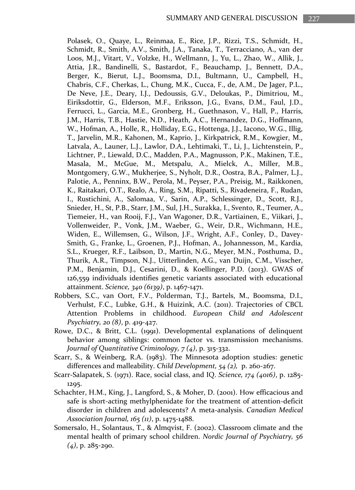Polasek, O., Quaye, L., Reinmaa, E., Rice, J.P., Rizzi, T.S., Schmidt, H., Schmidt, R., Smith, A.V., Smith, J.A., Tanaka, T., Terracciano, A., van der Loos, M.J., Vitart, V., Volzke, H., Wellmann, J., Yu, L., Zhao, W., Allik, J., Attia, J.R., Bandinelli, S., Bastardot, F., Beauchamp, J., Bennett, D.A., Berger, K., Bierut, L.J., Boomsma, D.I., Bultmann, U., Campbell, H., Chabris, C.F., Cherkas, L., Chung, M.K., Cucca, F., de, A.M., De Jager, P.L., De Neve, J.E., Deary, I.J., Dedoussis, G.V., Deloukas, P., Dimitriou, M., Eiriksdottir, G., Elderson, M.F., Eriksson, J.G., Evans, D.M., Faul, J.D., Ferrucci, L., Garcia, M.E., Gronberg, H., Guethnason, V., Hall, P., Harris, J.M., Harris, T.B., Hastie, N.D., Heath, A.C., Hernandez, D.G., Hoffmann, W., Hofman, A., Holle, R., Holliday, E.G., Hottenga, J.J., Iacono, W.G., Illig, T., Jarvelin, M.R., Kahonen, M., Kaprio, J., Kirkpatrick, R.M., Kowgier, M., Latvala, A., Launer, L.J., Lawlor, D.A., Lehtimaki, T., Li, J., Lichtenstein, P., Lichtner, P., Liewald, D.C., Madden, P.A., Magnusson, P.K., Makinen, T.E., Masala, M., McGue, M., Metspalu, A., Mielck, A., Miller, M.B., Montgomery, G.W., Mukherjee, S., Nyholt, D.R., Oostra, B.A., Palmer, L.J., Palotie, A., Penninx, B.W., Perola, M., Peyser, P.A., Preisig, M., Raikkonen, K., Raitakari, O.T., Realo, A., Ring, S.M., Ripatti, S., Rivadeneira, F., Rudan, I., Rustichini, A., Salomaa, V., Sarin, A.P., Schlessinger, D., Scott, R.J., Snieder, H., St, P.B., Starr, J.M., Sul, J.H., Surakka, I., Svento, R., Teumer, A., Tiemeier, H., van Rooij, F.J., Van Wagoner, D.R., Vartiainen, E., Viikari, J., Vollenweider, P., Vonk, J.M., Waeber, G., Weir, D.R., Wichmann, H.E., Widen, E., Willemsen, G., Wilson, J.F., Wright, A.F., Conley, D., Davey-Smith, G., Franke, L., Groenen, P.J., Hofman, A., Johannesson, M., Kardia, S.L., Krueger, R.F., Laibson, D., Martin, N.G., Meyer, M.N., Posthuma, D., Thurik, A.R., Timpson, N.J., Uitterlinden, A.G., van Duijn, C.M., Visscher, P.M., Benjamin, D.J., Cesarini, D., & Koellinger, P.D. (2013). GWAS of 126,559 individuals identifies genetic variants associated with educational attainment. *Science, 340 (6139)*, p. 1467-1471.

- Robbers, S.C., van Oort, F.V., Polderman, T.J., Bartels, M., Boomsma, D.I., Verhulst, F.C., Lubke, G.H., & Huizink, A.C. (2011). Trajectories of CBCL Attention Problems in childhood. *European Child and Adolescent Psychiatry, 20 (8)*, p. 419-427.
- Rowe, D.C., & Britt, C.L. (1991). Developmental explanations of delinquent behavior among siblings: common factor vs. transmission mechanisms. *Journal of Quantitative Criminology, 7 (4)*, p. 315-332.
- Scarr, S., & Weinberg, R.A. (1983). The Minnesota adoption studies: genetic differences and malleability. *Child Development, 54 (2),* p. 260-267.
- Scarr-Salapatek, S. (1971). Race, social class, and IQ. *Science, 174 (4016)*, p. 1285- 1295.
- Schachter, H.M., King, J., Langford, S., & Moher, D. (2001). How efficacious and safe is short-acting methylphenidate for the treatment of attention-deficit disorder in children and adolescents? A meta-analysis. *Canadian Medical Association Journal, 165 (11)*, p. 1475-1488.
- Somersalo, H., Solantaus, T., & Almqvist, F. (2002). Classroom climate and the mental health of primary school children. *Nordic Journal of Psychiatry, 56 (4)*, p. 285-290.